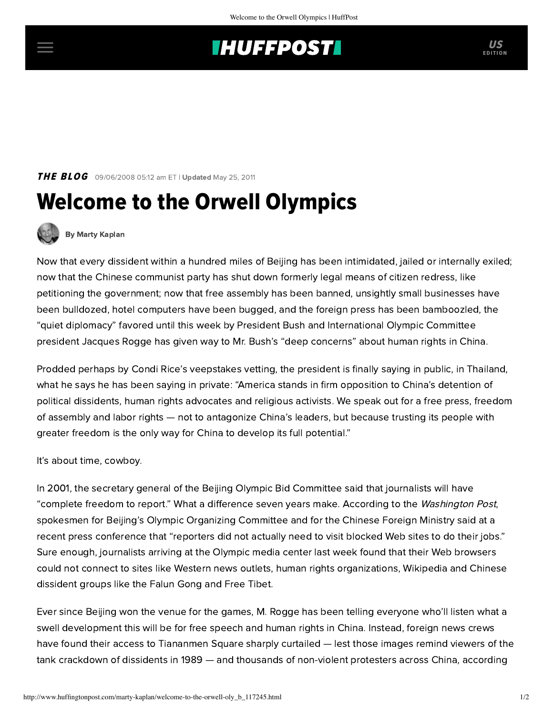## **INUFFPOSTI** US

**THE BLOG** 09/06/2008 05:12 am ET | Updated May 25, 2011

## Welcome to the Orwell Olympics



[By Marty Kaplan](http://www.huffingtonpost.com/author/marty-kaplan)

Now that every dissident within a hundred miles of Beijing has been intimidated, jailed or internally exiled; now that the Chinese communist party has shut down formerly legal means of citizen redress, like petitioning the government; now that free assembly has been banned, unsightly small businesses have been bulldozed, hotel computers have been bugged, and the foreign press has been bamboozled, the "quiet diplomacy" favored until this week by President Bush and International Olympic Committee president Jacques Rogge has given way to Mr. Bush's ["deep concerns"](http://www.huffingtonpost.com/2008/08/06/bush-to-slam-china-on-day_n_117209.html) about human rights in China.

Prodded perhaps by Condi Rice's veepstakes vetting, the president is finally saying in public, in Thailand, what he says he has been saying in private: "America stands in firm opposition to China's detention of political dissidents, human rights advocates and religious activists. We speak out for a free press, freedom of assembly and labor rights — not to antagonize China's leaders, but because trusting its people with greater freedom is the only way for China to develop its full potential."

It's about time, cowboy.

In 2001, the secretary general of the Beijing Olympic Bid Committee said that journalists will have "complete freedom to report." What a difference seven years make. According to the [Washington Post](http://www.washingtonpost.com/wp-dyn/content/article/2008/08/02/AR2008080201204.html), spokesmen for Beijing's Olympic Organizing Committee and for the Chinese Foreign Ministry said at a recent press conference that "reporters did not actually need to visit blocked Web sites to do their jobs." Sure enough, journalists arriving at the Olympic media center last week found that their Web browsers could not connect to sites like Western news outlets, human rights organizations, Wikipedia and Chinese dissident groups like the Falun Gong and Free Tibet.

Ever since Beijing won the venue for the games, M. Rogge has been telling everyone who'll listen what a swell development this will be for free speech and human rights in China. Instead, foreign news crews have found their access to Tiananmen Square sharply curtailed — lest those images remind viewers of the tank crackdown of dissidents in 1989 — and thousands of non-violent protesters across China, according